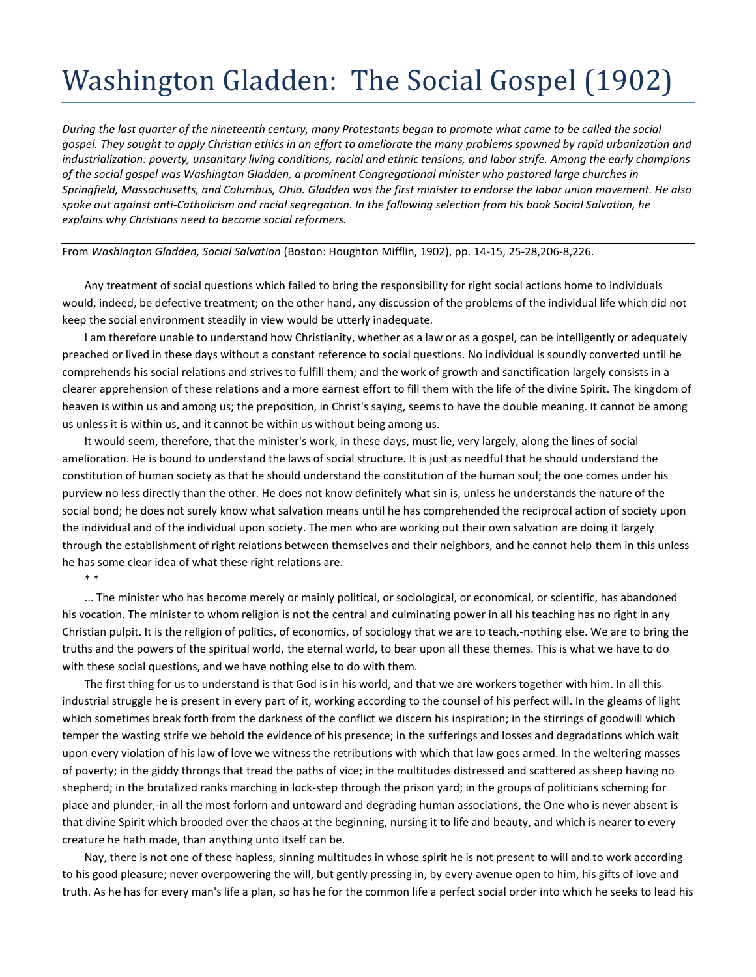## Washington Gladden: The Social Gospel (1902)

*During the last quarter of the nineteenth century, many Protestants began to promote what came to be called the social gospel. They sought to apply Christian ethics in an effort to ameliorate the many problems spawned by rapid urbanization and industrialization: poverty, unsanitary living conditions, racial and ethnic tensions, and labor strife. Among the early champions of the social gospel was Washington Gladden, a prominent Congregational minister who pastored large churches in Springfield, Massachusetts, and Columbus, Ohio. Gladden was the first minister to endorse the labor union movement. He also spoke out against anti-Catholicism and racial segregation. In the following selection from his book Social Salvation, he explains why Christians need to become social reformers.*

From *Washington Gladden, Social Salvation* (Boston: Houghton Mifflin, 1902), pp. 14-15, 25-28,206-8,226.

Any treatment of social questions which failed to bring the responsibility for right social actions home to individuals would, indeed, be defective treatment; on the other hand, any discussion of the problems of the individual life which did not keep the social environment steadily in view would be utterly inadequate.

I am therefore unable to understand how Christianity, whether as a law or as a gospel, can be intelligently or adequately preached or lived in these days without a constant reference to social questions. No individual is soundly converted until he comprehends his social relations and strives to fulfill them; and the work of growth and sanctification largely consists in a clearer apprehension of these relations and a more earnest effort to fill them with the life of the divine Spirit. The kingdom of heaven is within us and among us; the preposition, in Christ's saying, seems to have the double meaning. It cannot be among us unless it is within us, and it cannot be within us without being among us.

It would seem, therefore, that the minister's work, in these days, must lie, very largely, along the lines of social amelioration. He is bound to understand the laws of social structure. It is just as needful that he should understand the constitution of human society as that he should understand the constitution of the human soul; the one comes under his purview no less directly than the other. He does not know definitely what sin is, unless he understands the nature of the social bond; he does not surely know what salvation means until he has comprehended the reciprocal action of society upon the individual and of the individual upon society. The men who are working out their own salvation are doing it largely through the establishment of right relations between themselves and their neighbors, and he cannot help them in this unless he has some clear idea of what these right relations are.

\* \*

... The minister who has become merely or mainly political, or sociological, or economical, or scientific, has abandoned his vocation. The minister to whom religion is not the central and culminating power in all his teaching has no right in any Christian pulpit. It is the religion of politics, of economics, of sociology that we are to teach,-nothing else. We are to bring the truths and the powers of the spiritual world, the eternal world, to bear upon all these themes. This is what we have to do with these social questions, and we have nothing else to do with them.

The first thing for us to understand is that God is in his world, and that we are workers together with him. In all this industrial struggle he is present in every part of it, working according to the counsel of his perfect will. In the gleams of light which sometimes break forth from the darkness of the conflict we discern his inspiration; in the stirrings of goodwill which temper the wasting strife we behold the evidence of his presence; in the sufferings and losses and degradations which wait upon every violation of his law of love we witness the retributions with which that law goes armed. In the weltering masses of poverty; in the giddy throngs that tread the paths of vice; in the multitudes distressed and scattered as sheep having no shepherd; in the brutalized ranks marching in lock-step through the prison yard; in the groups of politicians scheming for place and plunder,-in all the most forlorn and untoward and degrading human associations, the One who is never absent is that divine Spirit which brooded over the chaos at the beginning, nursing it to life and beauty, and which is nearer to every creature he hath made, than anything unto itself can be.

Nay, there is not one of these hapless, sinning multitudes in whose spirit he is not present to will and to work according to his good pleasure; never overpowering the will, but gently pressing in, by every avenue open to him, his gifts of love and truth. As he has for every man's life a plan, so has he for the common life a perfect social order into which he seeks to lead his